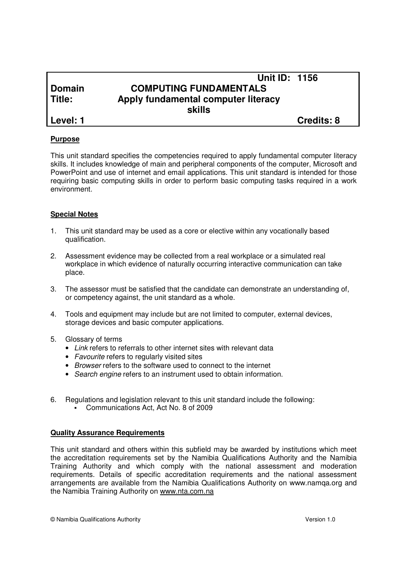|               | <b>Unit ID: 1156</b>                |                   |
|---------------|-------------------------------------|-------------------|
| <b>Domain</b> | <b>COMPUTING FUNDAMENTALS</b>       |                   |
| Title:        | Apply fundamental computer literacy |                   |
|               | skills                              |                   |
| Level: 1      |                                     | <b>Credits: 8</b> |

#### **Purpose**

This unit standard specifies the competencies required to apply fundamental computer literacy skills. It includes knowledge of main and peripheral components of the computer, Microsoft and PowerPoint and use of internet and email applications. This unit standard is intended for those requiring basic computing skills in order to perform basic computing tasks required in a work environment.

#### **Special Notes**

- 1. This unit standard may be used as a core or elective within any vocationally based qualification.
- 2. Assessment evidence may be collected from a real workplace or a simulated real workplace in which evidence of naturally occurring interactive communication can take place.
- 3. The assessor must be satisfied that the candidate can demonstrate an understanding of, or competency against, the unit standard as a whole.
- 4. Tools and equipment may include but are not limited to computer, external devices, storage devices and basic computer applications.
- 5. Glossary of terms
	- Link refers to referrals to other internet sites with relevant data
	- Favourite refers to regularly visited sites
	- Browser refers to the software used to connect to the internet
	- Search engine refers to an instrument used to obtain information.
- 6. Regulations and legislation relevant to this unit standard include the following:
	- Communications Act, Act No. 8 of 2009

#### **Quality Assurance Requirements**

This unit standard and others within this subfield may be awarded by institutions which meet the accreditation requirements set by the Namibia Qualifications Authority and the Namibia Training Authority and which comply with the national assessment and moderation requirements. Details of specific accreditation requirements and the national assessment arrangements are available from the Namibia Qualifications Authority on www.namqa.org and the Namibia Training Authority on www.nta.com.na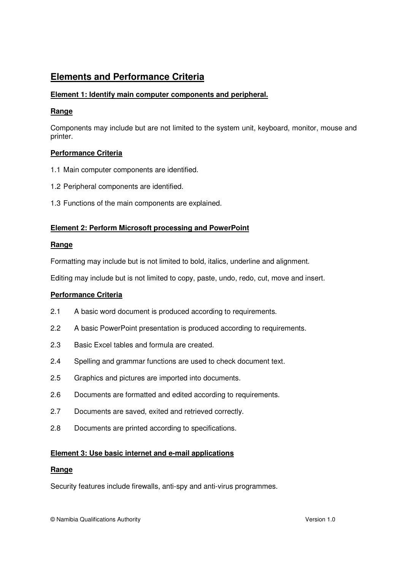# **Elements and Performance Criteria**

## **Element 1: Identify main computer components and peripheral.**

#### **Range**

Components may include but are not limited to the system unit, keyboard, monitor, mouse and printer.

## **Performance Criteria**

- 1.1 Main computer components are identified.
- 1.2 Peripheral components are identified.
- 1.3 Functions of the main components are explained.

## **Element 2: Perform Microsoft processing and PowerPoint**

#### **Range**

Formatting may include but is not limited to bold, italics, underline and alignment.

Editing may include but is not limited to copy, paste, undo, redo, cut, move and insert.

#### **Performance Criteria**

- 2.1 A basic word document is produced according to requirements.
- 2.2 A basic PowerPoint presentation is produced according to requirements.
- 2.3 Basic Excel tables and formula are created.
- 2.4 Spelling and grammar functions are used to check document text.
- 2.5 Graphics and pictures are imported into documents.
- 2.6 Documents are formatted and edited according to requirements.
- 2.7 Documents are saved, exited and retrieved correctly.
- 2.8 Documents are printed according to specifications.

#### **Element 3: Use basic internet and e-mail applications**

#### **Range**

Security features include firewalls, anti-spy and anti-virus programmes.